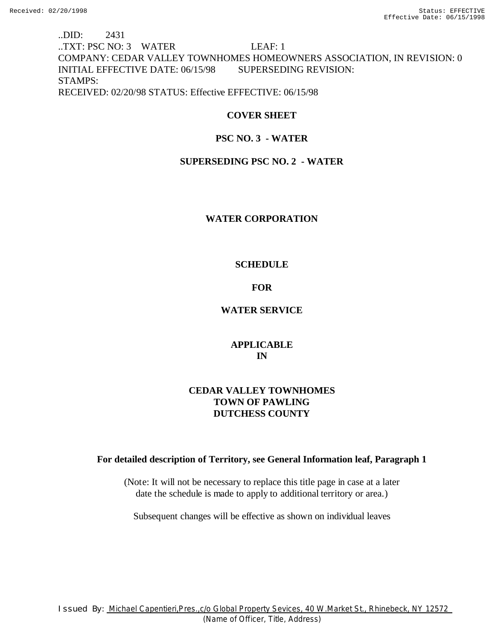# ..DID: 2431 ..TXT: PSC NO: 3 WATER LEAF: 1 COMPANY: CEDAR VALLEY TOWNHOMES HOMEOWNERS ASSOCIATION, IN REVISION: 0 INITIAL EFFECTIVE DATE: 06/15/98 SUPERSEDING REVISION: STAMPS: RECEIVED: 02/20/98 STATUS: Effective EFFECTIVE: 06/15/98

### **COVER SHEET**

### **PSC NO. 3 - WATER**

### **SUPERSEDING PSC NO. 2 - WATER**

### **WATER CORPORATION**

### **SCHEDULE**

### **FOR**

### **WATER SERVICE**

### **APPLICABLE IN**

# **CEDAR VALLEY TOWNHOMES TOWN OF PAWLING DUTCHESS COUNTY**

### **For detailed description of Territory, see General Information leaf, Paragraph 1**

(Note: It will not be necessary to replace this title page in case at a later date the schedule is made to apply to additional territory or area.)

Subsequent changes will be effective as shown on individual leaves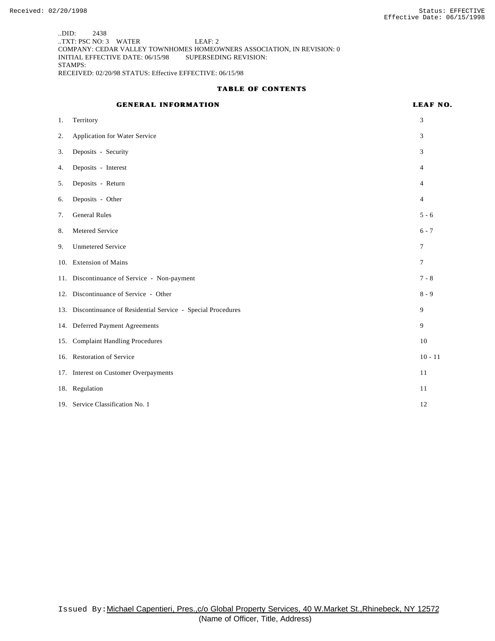..DID: 2438 ..TXT: PSC NO: 3 WATER LEAF: 2 COMPANY: CEDAR VALLEY TOWNHOMES HOMEOWNERS ASSOCIATION, IN REVISION: 0 INITIAL EFFECTIVE DATE: 06/15/98 SUPERSEDING REVISION: STAMPS: RECEIVED: 02/20/98 STATUS: Effective EFFECTIVE: 06/15/98

#### **TABLE OF CONTENTS**

# **GENERAL INFORMATION LEAF NO.**

| 1.  | Territory                                                      | 3              |
|-----|----------------------------------------------------------------|----------------|
| 2.  | Application for Water Service                                  | 3              |
| 3.  | Deposits - Security                                            | 3              |
| 4.  | Deposits - Interest                                            | 4              |
| 5.  | Deposits - Return                                              | 4              |
| 6.  | Deposits - Other                                               | 4              |
| 7.  | <b>General Rules</b>                                           | $5 - 6$        |
| 8.  | Metered Service                                                | $6 - 7$        |
| 9.  | <b>Unmetered Service</b>                                       | 7              |
|     | 10. Extension of Mains                                         | $\overline{7}$ |
|     | 11. Discontinuance of Service - Non-payment                    | $7 - 8$        |
|     | 12. Discontinuance of Service - Other                          | $8 - 9$        |
|     | 13. Discontinuance of Residential Service - Special Procedures | 9              |
|     | 14. Deferred Payment Agreements                                | 9              |
| 15. | <b>Complaint Handling Procedures</b>                           | 10             |
|     | 16. Restoration of Service                                     | $10 - 11$      |
|     | 17. Interest on Customer Overpayments                          | 11             |
|     | 18. Regulation                                                 | 11             |
|     | 19. Service Classification No. 1                               | 12             |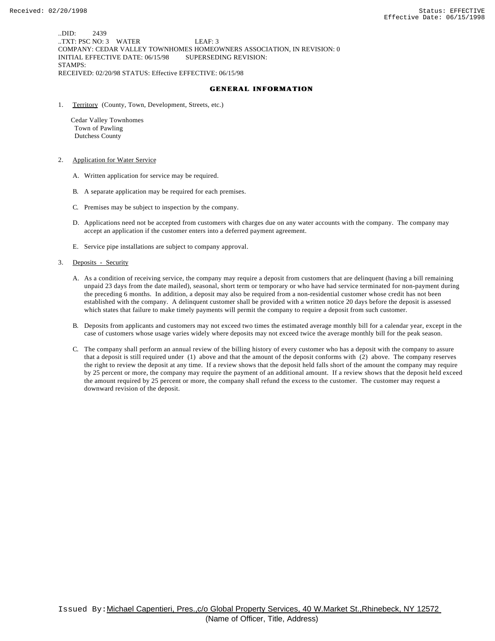..DID: 2439 ..TXT: PSC NO: 3 WATER LEAF: 3 COMPANY: CEDAR VALLEY TOWNHOMES HOMEOWNERS ASSOCIATION, IN REVISION: 0 INITIAL EFFECTIVE DATE: 06/15/98 SUPERSEDING REVISION: STAMPS: RECEIVED: 02/20/98 STATUS: Effective EFFECTIVE: 06/15/98

#### **GENERAL INFORMATION**

1. Territory (County, Town, Development, Streets, etc.)

 Cedar Valley Townhomes Town of Pawling Dutchess County

- 2. Application for Water Service
	- A. Written application for service may be required.
	- B. A separate application may be required for each premises.
	- C. Premises may be subject to inspection by the company.
	- D. Applications need not be accepted from customers with charges due on any water accounts with the company. The company may accept an application if the customer enters into a deferred payment agreement.
	- E. Service pipe installations are subject to company approval.
- 3. Deposits Security
	- A. As a condition of receiving service, the company may require a deposit from customers that are delinquent (having a bill remaining unpaid 23 days from the date mailed), seasonal, short term or temporary or who have had service terminated for non-payment during the preceding 6 months. In addition, a deposit may also be required from a non-residential customer whose credit has not been established with the company. A delinquent customer shall be provided with a written notice 20 days before the deposit is assessed which states that failure to make timely payments will permit the company to require a deposit from such customer.
	- B. Deposits from applicants and customers may not exceed two times the estimated average monthly bill for a calendar year, except in the case of customers whose usage varies widely where deposits may not exceed twice the average monthly bill for the peak season.
	- C. The company shall perform an annual review of the billing history of every customer who has a deposit with the company to assure that a deposit is still required under (1) above and that the amount of the deposit conforms with (2) above. The company reserves the right to review the deposit at any time. If a review shows that the deposit held falls short of the amount the company may require by 25 percent or more, the company may require the payment of an additional amount. If a review shows that the deposit held exceed the amount required by 25 percent or more, the company shall refund the excess to the customer. The customer may request a downward revision of the deposit.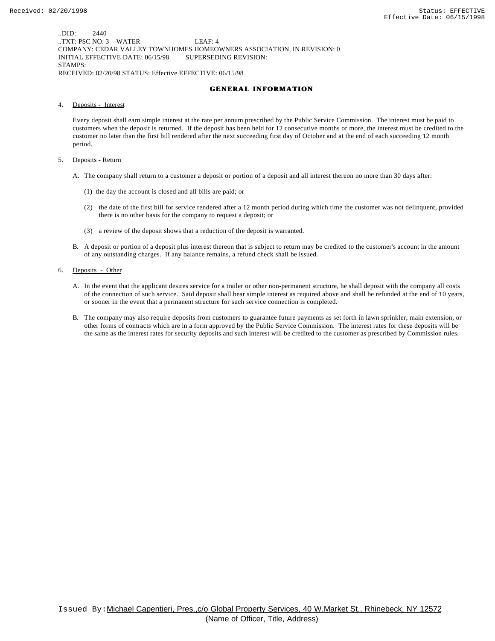..DID: 2440 ..TXT: PSC NO: 3 WATER LEAF: 4 COMPANY: CEDAR VALLEY TOWNHOMES HOMEOWNERS ASSOCIATION, IN REVISION: 0 INITIAL EFFECTIVE DATE: 06/15/98 SUPERSEDING REVISION: STAMPS: RECEIVED: 02/20/98 STATUS: Effective EFFECTIVE: 06/15/98

#### **GENERAL INFORMATION**

4. Deposits - Interest

Every deposit shall earn simple interest at the rate per annum prescribed by the Public Service Commission. The interest must be paid to customers when the deposit is returned. If the deposit has been held for 12 consecutive months or more, the interest must be credited to the customer no later than the first bill rendered after the next succeeding first day of October and at the end of each succeeding 12 month period.

- 5. Deposits Return
	- A. The company shall return to a customer a deposit or portion of a deposit and all interest thereon no more than 30 days after:
		- (1) the day the account is closed and all bills are paid; or
		- (2) the date of the first bill for service rendered after a 12 month period during which time the customer was not delinquent, provided there is no other basis for the company to request a deposit; or
		- (3) a review of the deposit shows that a reduction of the deposit is warranted.
	- B. A deposit or portion of a deposit plus interest thereon that is subject to return may be credited to the customer's account in the amount of any outstanding charges. If any balance remains, a refund check shall be issued.
- 6. Deposits Other
	- A. In the event that the applicant desires service for a trailer or other non-permanent structure, he shall deposit with the company all costs of the connection of such service. Said deposit shall bear simple interest as required above and shall be refunded at the end of 10 years, or sooner in the event that a permanent structure for such service connection is completed.
	- B. The company may also require deposits from customers to guarantee future payments as set forth in lawn sprinkler, main extension, or other forms of contracts which are in a form approved by the Public Service Commission. The interest rates for these deposits will be the same as the interest rates for security deposits and such interest will be credited to the customer as prescribed by Commission rules.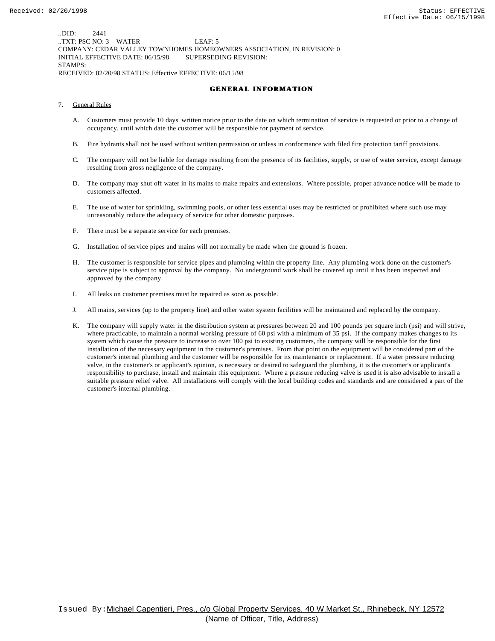..DID: 2441 ..TXT: PSC NO: 3 WATER LEAF: 5 COMPANY: CEDAR VALLEY TOWNHOMES HOMEOWNERS ASSOCIATION, IN REVISION: 0 INITIAL EFFECTIVE DATE: 06/15/98 SUPERSEDING REVISION: STAMPS: RECEIVED: 02/20/98 STATUS: Effective EFFECTIVE: 06/15/98

#### **GENERAL INFORMATION**

- 7. General Rules
	- A. Customers must provide 10 days' written notice prior to the date on which termination of service is requested or prior to a change of occupancy, until which date the customer will be responsible for payment of service.
	- B. Fire hydrants shall not be used without written permission or unless in conformance with filed fire protection tariff provisions.
	- C. The company will not be liable for damage resulting from the presence of its facilities, supply, or use of water service, except damage resulting from gross negligence of the company.
	- D. The company may shut off water in its mains to make repairs and extensions. Where possible, proper advance notice will be made to customers affected.
	- E. The use of water for sprinkling, swimming pools, or other less essential uses may be restricted or prohibited where such use may unreasonably reduce the adequacy of service for other domestic purposes.
	- F. There must be a separate service for each premises.
	- G. Installation of service pipes and mains will not normally be made when the ground is frozen.
	- H. The customer is responsible for service pipes and plumbing within the property line. Any plumbing work done on the customer's service pipe is subject to approval by the company. No underground work shall be covered up until it has been inspected and approved by the company.
	- I. All leaks on customer premises must be repaired as soon as possible.
	- J. All mains, services (up to the property line) and other water system facilities will be maintained and replaced by the company.
	- K. The company will supply water in the distribution system at pressures between 20 and 100 pounds per square inch (psi) and will strive, where practicable, to maintain a normal working pressure of 60 psi with a minimum of 35 psi. If the company makes changes to its system which cause the pressure to increase to over 100 psi to existing customers, the company will be responsible for the first installation of the necessary equipment in the customer's premises. From that point on the equipment will be considered part of the customer's internal plumbing and the customer will be responsible for its maintenance or replacement. If a water pressure reducing valve, in the customer's or applicant's opinion, is necessary or desired to safeguard the plumbing, it is the customer's or applicant's responsibility to purchase, install and maintain this equipment. Where a pressure reducing valve is used it is also advisable to install a suitable pressure relief valve. All installations will comply with the local building codes and standards and are considered a part of the customer's internal plumbing.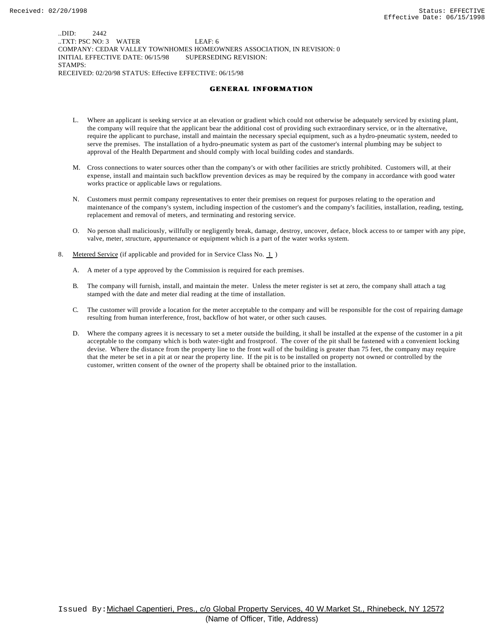..DID: 2442 ..TXT: PSC NO: 3 WATER LEAF: 6 COMPANY: CEDAR VALLEY TOWNHOMES HOMEOWNERS ASSOCIATION, IN REVISION: 0 INITIAL EFFECTIVE DATE: 06/15/98 SUPERSEDING REVISION: STAMPS: RECEIVED: 02/20/98 STATUS: Effective EFFECTIVE: 06/15/98

#### **GENERAL INFORMATION**

- L. Where an applicant is seeking service at an elevation or gradient which could not otherwise be adequately serviced by existing plant, the company will require that the applicant bear the additional cost of providing such extraordinary service, or in the alternative, require the applicant to purchase, install and maintain the necessary special equipment, such as a hydro-pneumatic system, needed to serve the premises. The installation of a hydro-pneumatic system as part of the customer's internal plumbing may be subject to approval of the Health Department and should comply with local building codes and standards.
- M. Cross connections to water sources other than the company's or with other facilities are strictly prohibited. Customers will, at their expense, install and maintain such backflow prevention devices as may be required by the company in accordance with good water works practice or applicable laws or regulations.
- N. Customers must permit company representatives to enter their premises on request for purposes relating to the operation and maintenance of the company's system, including inspection of the customer's and the company's facilities, installation, reading, testing, replacement and removal of meters, and terminating and restoring service.
- O. No person shall maliciously, willfully or negligently break, damage, destroy, uncover, deface, block access to or tamper with any pipe, valve, meter, structure, appurtenance or equipment which is a part of the water works system.
- 8. Metered Service (if applicable and provided for in Service Class No. 1)
	- A. A meter of a type approved by the Commission is required for each premises.
	- B. The company will furnish, install, and maintain the meter. Unless the meter register is set at zero, the company shall attach a tag stamped with the date and meter dial reading at the time of installation.
	- C. The customer will provide a location for the meter acceptable to the company and will be responsible for the cost of repairing damage resulting from human interference, frost, backflow of hot water, or other such causes.
	- D. Where the company agrees it is necessary to set a meter outside the building, it shall be installed at the expense of the customer in a pit acceptable to the company which is both water-tight and frostproof. The cover of the pit shall be fastened with a convenient locking devise. Where the distance from the property line to the front wall of the building is greater than 75 feet, the company may require that the meter be set in a pit at or near the property line. If the pit is to be installed on property not owned or controlled by the customer, written consent of the owner of the property shall be obtained prior to the installation.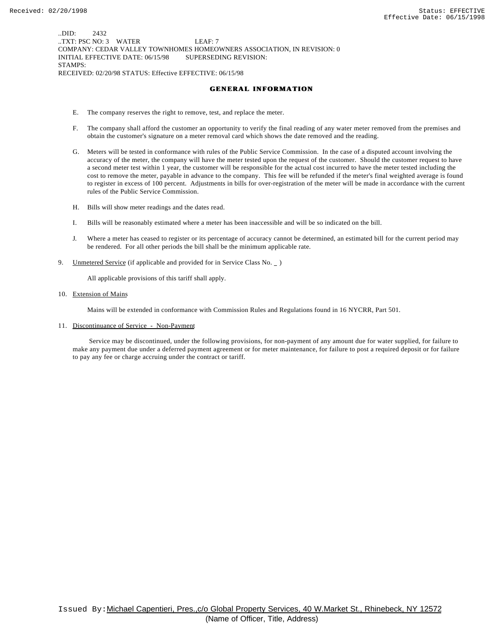..DID: 2432 ..TXT: PSC NO: 3 WATER LEAF: 7 COMPANY: CEDAR VALLEY TOWNHOMES HOMEOWNERS ASSOCIATION, IN REVISION: 0 INITIAL EFFECTIVE DATE: 06/15/98 SUPERSEDING REVISION: STAMPS: RECEIVED: 02/20/98 STATUS: Effective EFFECTIVE: 06/15/98

#### **GENERAL INFORMATION**

- E. The company reserves the right to remove, test, and replace the meter.
- F. The company shall afford the customer an opportunity to verify the final reading of any water meter removed from the premises and obtain the customer's signature on a meter removal card which shows the date removed and the reading.
- G. Meters will be tested in conformance with rules of the Public Service Commission. In the case of a disputed account involving the accuracy of the meter, the company will have the meter tested upon the request of the customer. Should the customer request to have a second meter test within 1 year, the customer will be responsible for the actual cost incurred to have the meter tested including the cost to remove the meter, payable in advance to the company. This fee will be refunded if the meter's final weighted average is found to register in excess of 100 percent. Adjustments in bills for over-registration of the meter will be made in accordance with the current rules of the Public Service Commission.
- H. Bills will show meter readings and the dates read.
- I. Bills will be reasonably estimated where a meter has been inaccessible and will be so indicated on the bill.
- J. Where a meter has ceased to register or its percentage of accuracy cannot be determined, an estimated bill for the current period may be rendered. For all other periods the bill shall be the minimum applicable rate.
- 9. Unmetered Service (if applicable and provided for in Service Class No.  $\Box$ )

All applicable provisions of this tariff shall apply.

10. Extension of Mains

Mains will be extended in conformance with Commission Rules and Regulations found in 16 NYCRR, Part 501.

11. Discontinuance of Service - Non-Payment

 Service may be discontinued, under the following provisions, for non-payment of any amount due for water supplied, for failure to make any payment due under a deferred payment agreement or for meter maintenance, for failure to post a required deposit or for failure to pay any fee or charge accruing under the contract or tariff.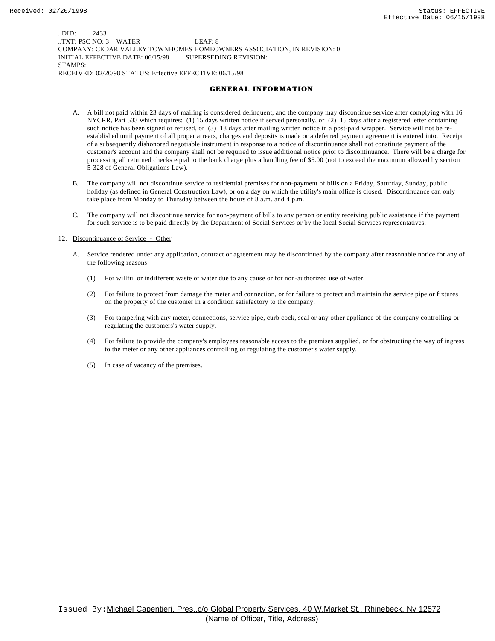..DID: 2433 ..TXT: PSC NO: 3 WATER LEAF: 8 COMPANY: CEDAR VALLEY TOWNHOMES HOMEOWNERS ASSOCIATION, IN REVISION: 0 INITIAL EFFECTIVE DATE: 06/15/98 SUPERSEDING REVISION: STAMPS: RECEIVED: 02/20/98 STATUS: Effective EFFECTIVE: 06/15/98

#### **GENERAL INFORMATION**

- A. A bill not paid within 23 days of mailing is considered delinquent, and the company may discontinue service after complying with 16 NYCRR, Part 533 which requires: (1) 15 days written notice if served personally, or (2) 15 days after a registered letter containing such notice has been signed or refused, or (3) 18 days after mailing written notice in a post-paid wrapper. Service will not be reestablished until payment of all proper arrears, charges and deposits is made or a deferred payment agreement is entered into. Receipt of a subsequently dishonored negotiable instrument in response to a notice of discontinuance shall not constitute payment of the customer's account and the company shall not be required to issue additional notice prior to discontinuance. There will be a charge for processing all returned checks equal to the bank charge plus a handling fee of \$5.00 (not to exceed the maximum allowed by section 5-328 of General Obligations Law).
- B. The company will not discontinue service to residential premises for non-payment of bills on a Friday, Saturday, Sunday, public holiday (as defined in General Construction Law), or on a day on which the utility's main office is closed. Discontinuance can only take place from Monday to Thursday between the hours of 8 a.m. and 4 p.m.
- C. The company will not discontinue service for non-payment of bills to any person or entity receiving public assistance if the payment for such service is to be paid directly by the Department of Social Services or by the local Social Services representatives.

#### 12. Discontinuance of Service - Other

- A. Service rendered under any application, contract or agreement may be discontinued by the company after reasonable notice for any of the following reasons:
	- (1) For willful or indifferent waste of water due to any cause or for non-authorized use of water.
	- (2) For failure to protect from damage the meter and connection, or for failure to protect and maintain the service pipe or fixtures on the property of the customer in a condition satisfactory to the company.
	- (3) For tampering with any meter, connections, service pipe, curb cock, seal or any other appliance of the company controlling or regulating the customers's water supply.
	- (4) For failure to provide the company's employees reasonable access to the premises supplied, or for obstructing the way of ingress to the meter or any other appliances controlling or regulating the customer's water supply.
	- (5) In case of vacancy of the premises.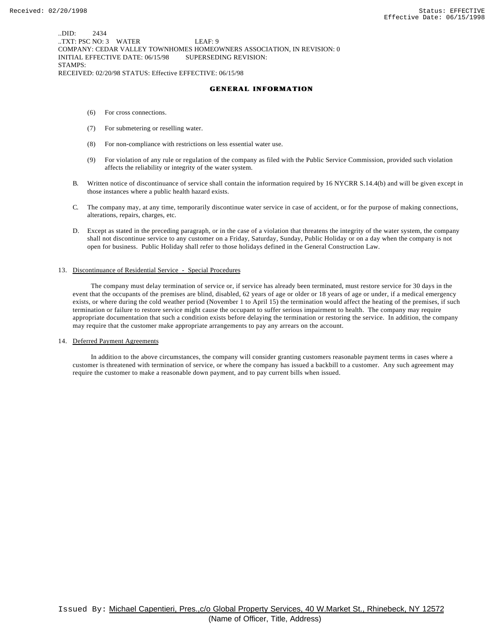..DID: 2434 ..TXT: PSC NO: 3 WATER LEAF: 9 COMPANY: CEDAR VALLEY TOWNHOMES HOMEOWNERS ASSOCIATION, IN REVISION: 0 INITIAL EFFECTIVE DATE: 06/15/98 SUPERSEDING REVISION: STAMPS: RECEIVED: 02/20/98 STATUS: Effective EFFECTIVE: 06/15/98

#### **GENERAL INFORMATION**

- (6) For cross connections.
- (7) For submetering or reselling water.
- (8) For non-compliance with restrictions on less essential water use.
- (9) For violation of any rule or regulation of the company as filed with the Public Service Commission, provided such violation affects the reliability or integrity of the water system.
- B. Written notice of discontinuance of service shall contain the information required by 16 NYCRR S.14.4(b) and will be given except in those instances where a public health hazard exists.
- C. The company may, at any time, temporarily discontinue water service in case of accident, or for the purpose of making connections, alterations, repairs, charges, etc.
- D. Except as stated in the preceding paragraph, or in the case of a violation that threatens the integrity of the water system, the company shall not discontinue service to any customer on a Friday, Saturday, Sunday, Public Holiday or on a day when the company is not open for business. Public Holiday shall refer to those holidays defined in the General Construction Law.

#### 13. Discontinuance of Residential Service - Special Procedures

 The company must delay termination of service or, if service has already been terminated, must restore service for 30 days in the event that the occupants of the premises are blind, disabled, 62 years of age or older or 18 years of age or under, if a medical emergency exists, or where during the cold weather period (November 1 to April 15) the termination would affect the heating of the premises, if such termination or failure to restore service might cause the occupant to suffer serious impairment to health. The company may require appropriate documentation that such a condition exists before delaying the termination or restoring the service. In addition, the company may require that the customer make appropriate arrangements to pay any arrears on the account.

14. Deferred Payment Agreements

 In addition to the above circumstances, the company will consider granting customers reasonable payment terms in cases where a customer is threatened with termination of service, or where the company has issued a backbill to a customer. Any such agreement may require the customer to make a reasonable down payment, and to pay current bills when issued.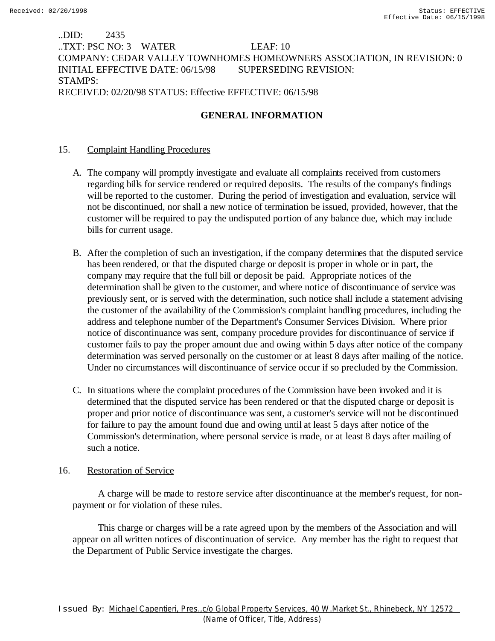# ..DID: 2435 ..TXT: PSC NO: 3 WATER LEAF: 10 COMPANY: CEDAR VALLEY TOWNHOMES HOMEOWNERS ASSOCIATION, IN REVISION: 0 INITIAL EFFECTIVE DATE: 06/15/98 SUPERSEDING REVISION: STAMPS: RECEIVED: 02/20/98 STATUS: Effective EFFECTIVE: 06/15/98

# **GENERAL INFORMATION**

# 15. Complaint Handling Procedures

- A. The company will promptly investigate and evaluate all complaints received from customers regarding bills for service rendered or required deposits. The results of the company's findings will be reported to the customer. During the period of investigation and evaluation, service will not be discontinued, nor shall a new notice of termination be issued, provided, however, that the customer will be required to pay the undisputed portion of any balance due, which may include bills for current usage.
- B. After the completion of such an investigation, if the company determines that the disputed service has been rendered, or that the disputed charge or deposit is proper in whole or in part, the company may require that the full bill or deposit be paid. Appropriate notices of the determination shall be given to the customer, and where notice of discontinuance of service was previously sent, or is served with the determination, such notice shall include a statement advising the customer of the availability of the Commission's complaint handling procedures, including the address and telephone number of the Department's Consumer Services Division. Where prior notice of discontinuance was sent, company procedure provides for discontinuance of service if customer fails to pay the proper amount due and owing within 5 days after notice of the company determination was served personally on the customer or at least 8 days after mailing of the notice. Under no circumstances will discontinuance of service occur if so precluded by the Commission.
- C. In situations where the complaint procedures of the Commission have been invoked and it is determined that the disputed service has been rendered or that the disputed charge or deposit is proper and prior notice of discontinuance was sent, a customer's service will not be discontinued for failure to pay the amount found due and owing until at least 5 days after notice of the Commission's determination, where personal service is made, or at least 8 days after mailing of such a notice.

### 16. Restoration of Service

 A charge will be made to restore service after discontinuance at the member's request, for nonpayment or for violation of these rules.

 This charge or charges will be a rate agreed upon by the members of the Association and will appear on all written notices of discontinuation of service. Any member has the right to request that the Department of Public Service investigate the charges.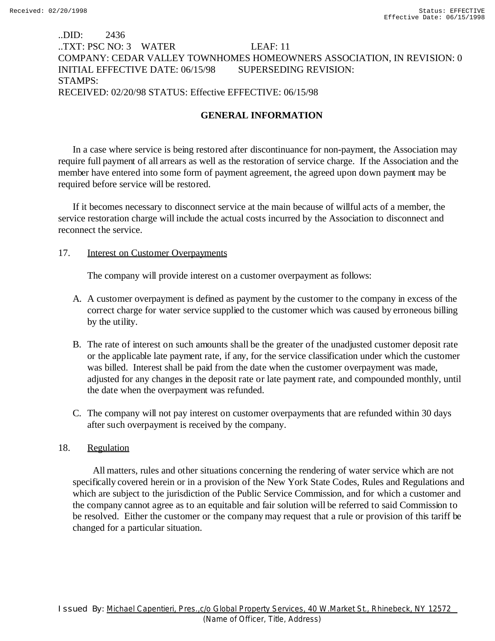# ..DID: 2436 ..TXT: PSC NO: 3 WATER LEAF: 11 COMPANY: CEDAR VALLEY TOWNHOMES HOMEOWNERS ASSOCIATION, IN REVISION: 0 INITIAL EFFECTIVE DATE: 06/15/98 SUPERSEDING REVISION: STAMPS: RECEIVED: 02/20/98 STATUS: Effective EFFECTIVE: 06/15/98

# **GENERAL INFORMATION**

In a case where service is being restored after discontinuance for non-payment, the Association may require full payment of all arrears as well as the restoration of service charge. If the Association and the member have entered into some form of payment agreement, the agreed upon down payment may be required before service will be restored.

If it becomes necessary to disconnect service at the main because of willful acts of a member, the service restoration charge will include the actual costs incurred by the Association to disconnect and reconnect the service.

### 17. **Interest on Customer Overpayments**

The company will provide interest on a customer overpayment as follows:

- A. A customer overpayment is defined as payment by the customer to the company in excess of the correct charge for water service supplied to the customer which was caused by erroneous billing by the utility.
- B. The rate of interest on such amounts shall be the greater of the unadjusted customer deposit rate or the applicable late payment rate, if any, for the service classification under which the customer was billed. Interest shall be paid from the date when the customer overpayment was made, adjusted for any changes in the deposit rate or late payment rate, and compounded monthly, until the date when the overpayment was refunded.
- C. The company will not pay interest on customer overpayments that are refunded within 30 days after such overpayment is received by the company.

### 18. Regulation

 All matters, rules and other situations concerning the rendering of water service which are not specifically covered herein or in a provision of the New York State Codes, Rules and Regulations and which are subject to the jurisdiction of the Public Service Commission, and for which a customer and the company cannot agree as to an equitable and fair solution will be referred to said Commission to be resolved. Either the customer or the company may request that a rule or provision of this tariff be changed for a particular situation.